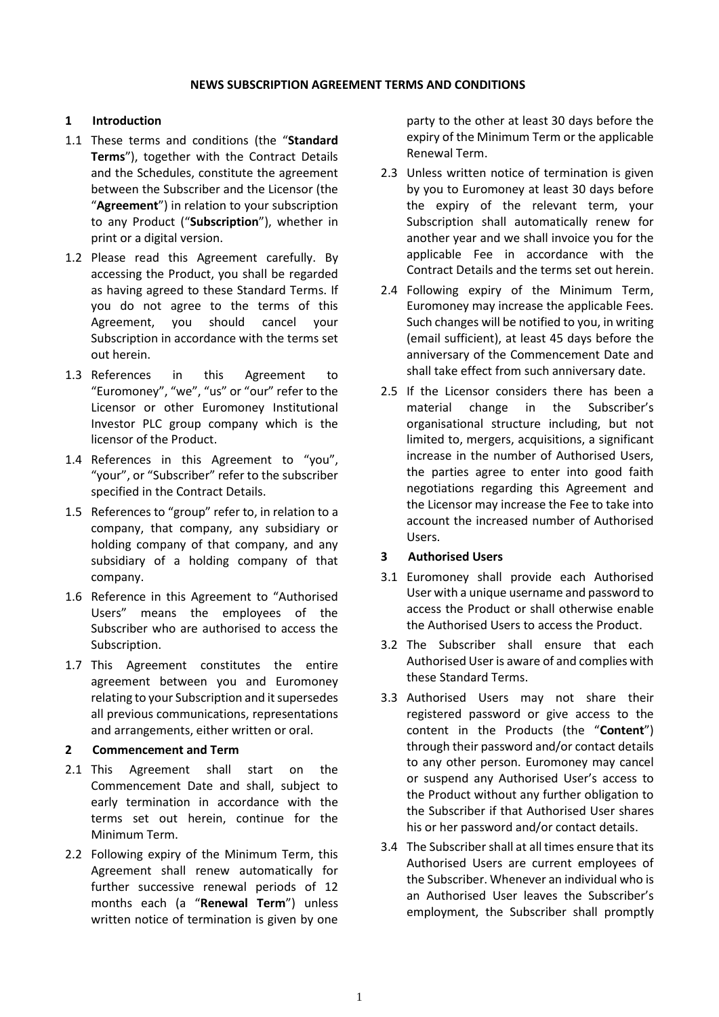#### **NEWS SUBSCRIPTION AGREEMENT TERMS AND CONDITIONS**

# **1 Introduction**

- 1.1 These terms and conditions (the "**Standard Terms**"), together with the Contract Details and the Schedules, constitute the agreement between the Subscriber and the Licensor (the "**Agreement**") in relation to your subscription to any Product ("**Subscription**"), whether in print or a digital version.
- 1.2 Please read this Agreement carefully. By accessing the Product, you shall be regarded as having agreed to these Standard Terms. If you do not agree to the terms of this Agreement, you should cancel your Subscription in accordance with the terms set out herein.
- 1.3 References in this Agreement to "Euromoney", "we", "us" or "our" refer to the Licensor or other Euromoney Institutional Investor PLC group company which is the licensor of the Product.
- 1.4 References in this Agreement to "you", "your", or "Subscriber" refer to the subscriber specified in the Contract Details.
- 1.5 References to "group" refer to, in relation to a company, that company, any subsidiary or holding company of that company, and any subsidiary of a holding company of that company.
- 1.6 Reference in this Agreement to "Authorised Users" means the employees of the Subscriber who are authorised to access the Subscription.
- 1.7 This Agreement constitutes the entire agreement between you and Euromoney relating to your Subscription and it supersedes all previous communications, representations and arrangements, either written or oral.

### **2 Commencement and Term**

- 2.1 This Agreement shall start on the Commencement Date and shall, subject to early termination in accordance with the terms set out herein, continue for the Minimum Term.
- 2.2 Following expiry of the Minimum Term, this Agreement shall renew automatically for further successive renewal periods of 12 months each (a "**Renewal Term**") unless written notice of termination is given by one

party to the other at least 30 days before the expiry of the Minimum Term or the applicable Renewal Term.

- 2.3 Unless written notice of termination is given by you to Euromoney at least 30 days before the expiry of the relevant term, your Subscription shall automatically renew for another year and we shall invoice you for the applicable Fee in accordance with the Contract Details and the terms set out herein.
- 2.4 Following expiry of the Minimum Term, Euromoney may increase the applicable Fees. Such changes will be notified to you, in writing (email sufficient), at least 45 days before the anniversary of the Commencement Date and shall take effect from such anniversary date.
- 2.5 If the Licensor considers there has been a material change in the Subscriber's organisational structure including, but not limited to, mergers, acquisitions, a significant increase in the number of Authorised Users, the parties agree to enter into good faith negotiations regarding this Agreement and the Licensor may increase the Fee to take into account the increased number of Authorised Users.

# **3 Authorised Users**

- 3.1 Euromoney shall provide each Authorised User with a unique username and password to access the Product or shall otherwise enable the Authorised Users to access the Product.
- 3.2 The Subscriber shall ensure that each Authorised User is aware of and complies with these Standard Terms.
- 3.3 Authorised Users may not share their registered password or give access to the content in the Products (the "**Content**") through their password and/or contact details to any other person. Euromoney may cancel or suspend any Authorised User's access to the Product without any further obligation to the Subscriber if that Authorised User shares his or her password and/or contact details.
- 3.4 The Subscriber shall at all times ensure that its Authorised Users are current employees of the Subscriber. Whenever an individual who is an Authorised User leaves the Subscriber's employment, the Subscriber shall promptly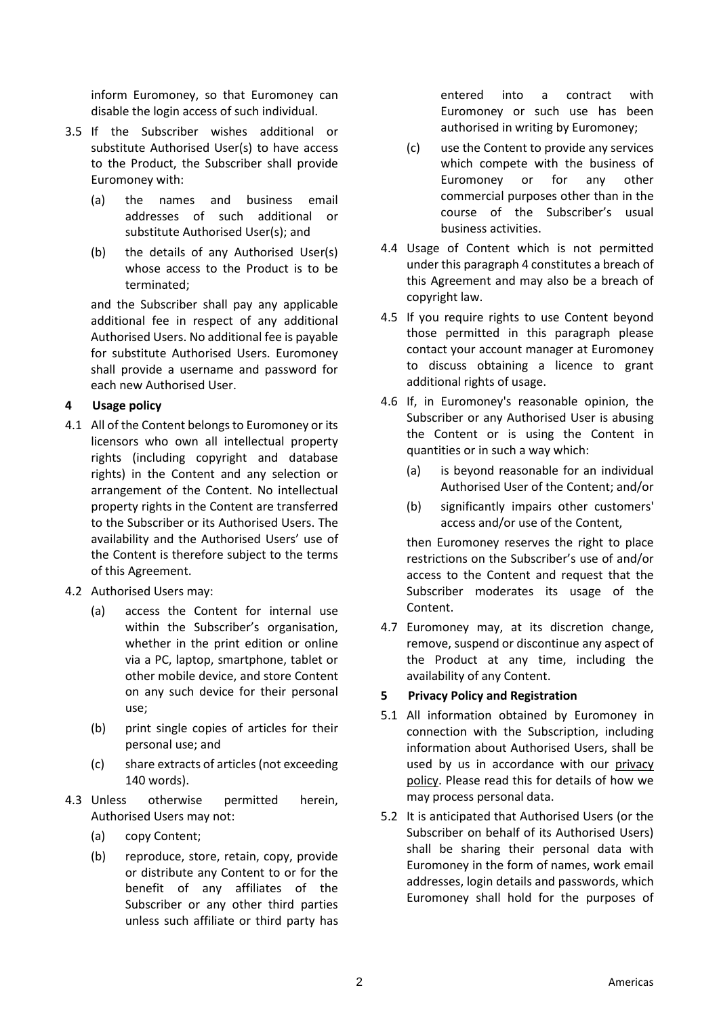inform Euromoney, so that Euromoney can disable the login access of such individual.

- 3.5 If the Subscriber wishes additional or substitute Authorised User(s) to have access to the Product, the Subscriber shall provide Euromoney with:
	- (a) the names and business email addresses of such additional or substitute Authorised User(s); and
	- (b) the details of any Authorised User(s) whose access to the Product is to be terminated;

and the Subscriber shall pay any applicable additional fee in respect of any additional Authorised Users. No additional fee is payable for substitute Authorised Users. Euromoney shall provide a username and password for each new Authorised User.

## <span id="page-1-0"></span>**4 Usage policy**

- 4.1 All of the Content belongs to Euromoney or its licensors who own all intellectual property rights (including copyright and database rights) in the Content and any selection or arrangement of the Content. No intellectual property rights in the Content are transferred to the Subscriber or its Authorised Users. The availability and the Authorised Users' use of the Content is therefore subject to the terms of this Agreement.
- 4.2 Authorised Users may:
	- (a) access the Content for internal use within the Subscriber's organisation, whether in the print edition or online via a PC, laptop, smartphone, tablet or other mobile device, and store Content on any such device for their personal use;
	- (b) print single copies of articles for their personal use; and
	- (c) share extracts of articles (not exceeding 140 words).
- 4.3 Unless otherwise permitted herein, Authorised Users may not:
	- (a) copy Content;
	- (b) reproduce, store, retain, copy, provide or distribute any Content to or for the benefit of any affiliates of the Subscriber or any other third parties unless such affiliate or third party has

entered into a contract with Euromoney or such use has been authorised in writing by Euromoney;

- (c) use the Content to provide any services which compete with the business of Euromoney or for any other commercial purposes other than in the course of the Subscriber's usual business activities.
- 4.4 Usage of Content which is not permitted under this paragrap[h 4](#page-1-0) constitutes a breach of this Agreement and may also be a breach of copyright law.
- 4.5 If you require rights to use Content beyond those permitted in this paragraph please contact your account manager at Euromoney to discuss obtaining a licence to grant additional rights of usage.
- 4.6 If, in Euromoney's reasonable opinion, the Subscriber or any Authorised User is abusing the Content or is using the Content in quantities or in such a way which:
	- (a) is beyond reasonable for an individual Authorised User of the Content; and/or
	- (b) significantly impairs other customers' access and/or use of the Content,

then Euromoney reserves the right to place restrictions on the Subscriber's use of and/or access to the Content and request that the Subscriber moderates its usage of the Content.

4.7 Euromoney may, at its discretion change, remove, suspend or discontinue any aspect of the Product at any time, including the availability of any Content.

## **5 Privacy Policy and Registration**

- 5.1 All information obtained by Euromoney in connection with the Subscription, including information about Authorised Users, shall be used by us in accordance with our [privacy](https://www.euromoney.com/privacy-policy)  [policy.](https://www.euromoney.com/privacy-policy) Please read this for details of how we may process personal data.
- 5.2 It is anticipated that Authorised Users (or the Subscriber on behalf of its Authorised Users) shall be sharing their personal data with Euromoney in the form of names, work email addresses, login details and passwords, which Euromoney shall hold for the purposes of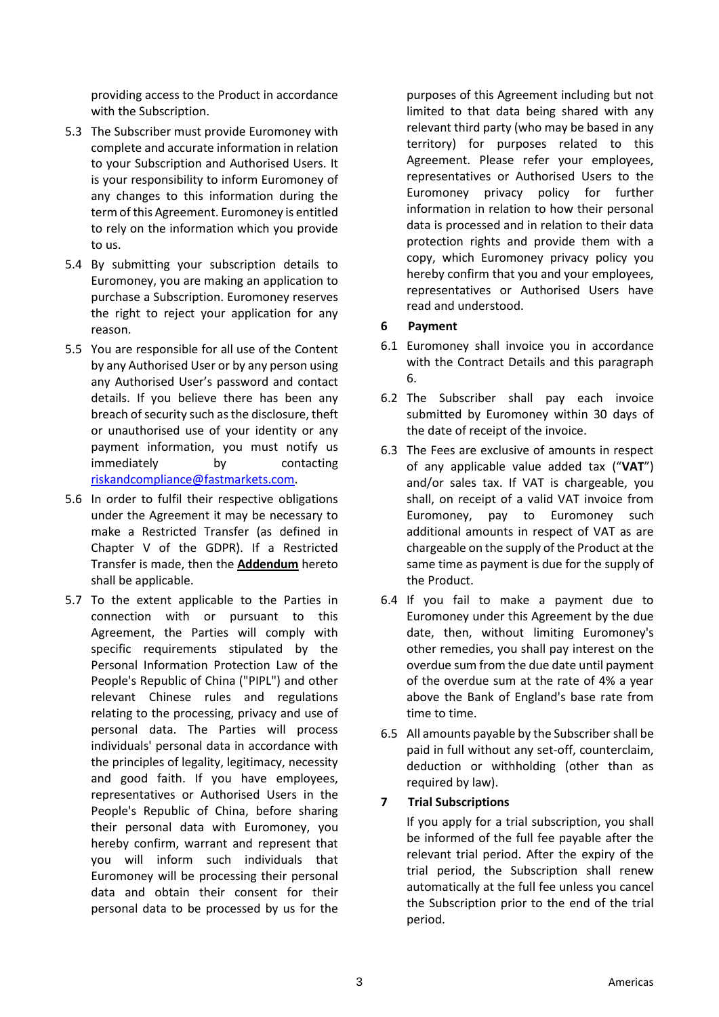providing access to the Product in accordance with the Subscription.

- 5.3 The Subscriber must provide Euromoney with complete and accurate information in relation to your Subscription and Authorised Users. It is your responsibility to inform Euromoney of any changes to this information during the term of this Agreement. Euromoney is entitled to rely on the information which you provide to us.
- 5.4 By submitting your subscription details to Euromoney, you are making an application to purchase a Subscription. Euromoney reserves the right to reject your application for any reason.
- 5.5 You are responsible for all use of the Content by any Authorised User or by any person using any Authorised User's password and contact details. If you believe there has been any breach of security such as the disclosure, theft or unauthorised use of your identity or any payment information, you must notify us immediately by contacting [riskandcompliance@fastmarkets.com.](mailto:riskandcompliance@fastmarkets.com)
- 5.6 In order to fulfil their respective obligations under the Agreement it may be necessary to make a Restricted Transfer (as defined in Chapter V of the GDPR). If a Restricted Transfer is made, then the **Addendum** hereto shall be applicable.
- 5.7 To the extent applicable to the Parties in connection with or pursuant to this Agreement, the Parties will comply with specific requirements stipulated by the Personal Information Protection Law of the People's Republic of China ("PIPL") and other relevant Chinese rules and regulations relating to the processing, privacy and use of personal data. The Parties will process individuals' personal data in accordance with the principles of legality, legitimacy, necessity and good faith. If you have employees, representatives or Authorised Users in the People's Republic of China, before sharing their personal data with Euromoney, you hereby confirm, warrant and represent that you will inform such individuals that Euromoney will be processing their personal data and obtain their consent for their personal data to be processed by us for the

purposes of this Agreement including but not limited to that data being shared with any relevant third party (who may be based in any territory) for purposes related to this Agreement. Please refer your employees, representatives or Authorised Users to the Euromoney privacy policy for further information in relation to how their personal data is processed and in relation to their data protection rights and provide them with a copy, which Euromoney privacy policy you hereby confirm that you and your employees, representatives or Authorised Users have read and understood.

# <span id="page-2-0"></span>**6 Payment**

- 6.1 Euromoney shall invoice you in accordance with the Contract Details and this paragraph [6.](#page-2-0)
- 6.2 The Subscriber shall pay each invoice submitted by Euromoney within 30 days of the date of receipt of the invoice.
- 6.3 The Fees are exclusive of amounts in respect of any applicable value added tax ("**VAT**") and/or sales tax. If VAT is chargeable, you shall, on receipt of a valid VAT invoice from Euromoney, pay to Euromoney such additional amounts in respect of VAT as are chargeable on the supply of the Product at the same time as payment is due for the supply of the Product.
- 6.4 If you fail to make a payment due to Euromoney under this Agreement by the due date, then, without limiting Euromoney's other remedies, you shall pay interest on the overdue sum from the due date until payment of the overdue sum at the rate of 4% a year above the Bank of England's base rate from time to time.
- 6.5 All amounts payable by the Subscriber shall be paid in full without any set-off, counterclaim, deduction or withholding (other than as required by law).

# **7 Trial Subscriptions**

If you apply for a trial subscription, you shall be informed of the full fee payable after the relevant trial period. After the expiry of the trial period, the Subscription shall renew automatically at the full fee unless you cancel the Subscription prior to the end of the trial period.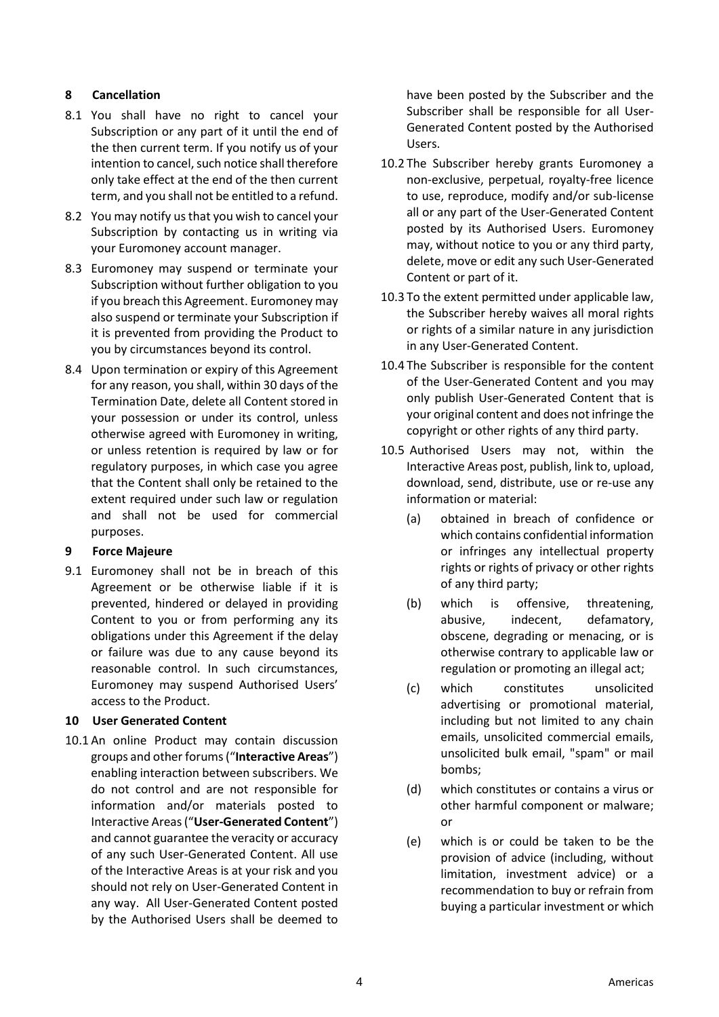# **8 Cancellation**

- 8.1 You shall have no right to cancel your Subscription or any part of it until the end of the then current term. If you notify us of your intention to cancel, such notice shall therefore only take effect at the end of the then current term, and you shall not be entitled to a refund.
- 8.2 You may notify us that you wish to cancel your Subscription by contacting us in writing via your Euromoney account manager.
- 8.3 Euromoney may suspend or terminate your Subscription without further obligation to you if you breach this Agreement. Euromoney may also suspend or terminate your Subscription if it is prevented from providing the Product to you by circumstances beyond its control.
- 8.4 Upon termination or expiry of this Agreement for any reason, you shall, within 30 days of the Termination Date, delete all Content stored in your possession or under its control, unless otherwise agreed with Euromoney in writing, or unless retention is required by law or for regulatory purposes, in which case you agree that the Content shall only be retained to the extent required under such law or regulation and shall not be used for commercial purposes.

# **9 Force Majeure**

9.1 Euromoney shall not be in breach of this Agreement or be otherwise liable if it is prevented, hindered or delayed in providing Content to you or from performing any its obligations under this Agreement if the delay or failure was due to any cause beyond its reasonable control. In such circumstances, Euromoney may suspend Authorised Users' access to the Product.

### **10 User Generated Content**

10.1 An online Product may contain discussion groups and other forums ("**Interactive Areas**") enabling interaction between subscribers. We do not control and are not responsible for information and/or materials posted to Interactive Areas ("**User-Generated Content**") and cannot guarantee the veracity or accuracy of any such User-Generated Content. All use of the Interactive Areas is at your risk and you should not rely on User-Generated Content in any way. All User-Generated Content posted by the Authorised Users shall be deemed to

have been posted by the Subscriber and the Subscriber shall be responsible for all User-Generated Content posted by the Authorised Users.

- 10.2 The Subscriber hereby grants Euromoney a non-exclusive, perpetual, royalty-free licence to use, reproduce, modify and/or sub-license all or any part of the User-Generated Content posted by its Authorised Users. Euromoney may, without notice to you or any third party, delete, move or edit any such User-Generated Content or part of it.
- 10.3 To the extent permitted under applicable law, the Subscriber hereby waives all moral rights or rights of a similar nature in any jurisdiction in any User-Generated Content.
- 10.4 The Subscriber is responsible for the content of the User-Generated Content and you may only publish User-Generated Content that is your original content and does not infringe the copyright or other rights of any third party.
- 10.5 Authorised Users may not, within the Interactive Areas post, publish, link to, upload, download, send, distribute, use or re-use any information or material:
	- (a) obtained in breach of confidence or which contains confidential information or infringes any intellectual property rights or rights of privacy or other rights of any third party;
	- (b) which is offensive, threatening, abusive, indecent, defamatory, obscene, degrading or menacing, or is otherwise contrary to applicable law or regulation or promoting an illegal act;
	- (c) which constitutes unsolicited advertising or promotional material, including but not limited to any chain emails, unsolicited commercial emails, unsolicited bulk email, "spam" or mail bombs;
	- (d) which constitutes or contains a virus or other harmful component or malware; or
	- (e) which is or could be taken to be the provision of advice (including, without limitation, investment advice) or a recommendation to buy or refrain from buying a particular investment or which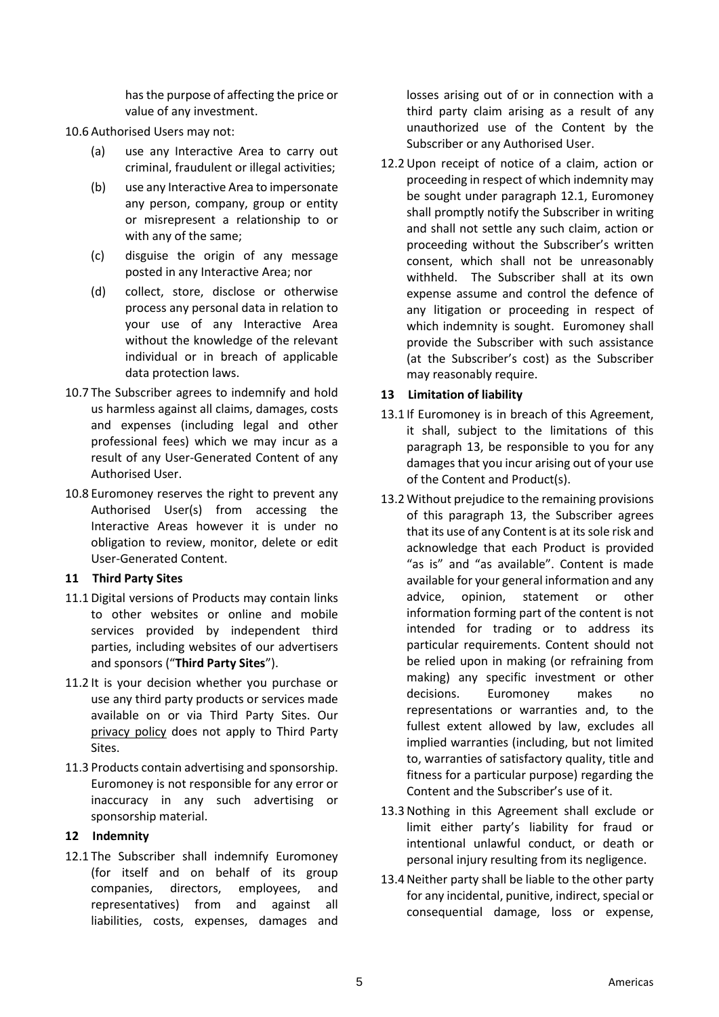has the purpose of affecting the price or value of any investment.

10.6 Authorised Users may not:

- (a) use any Interactive Area to carry out criminal, fraudulent or illegal activities;
- (b) use any Interactive Area to impersonate any person, company, group or entity or misrepresent a relationship to or with any of the same;
- (c) disguise the origin of any message posted in any Interactive Area; nor
- (d) collect, store, disclose or otherwise process any personal data in relation to your use of any Interactive Area without the knowledge of the relevant individual or in breach of applicable data protection laws.
- 10.7 The Subscriber agrees to indemnify and hold us harmless against all claims, damages, costs and expenses (including legal and other professional fees) which we may incur as a result of any User-Generated Content of any Authorised User.
- 10.8 Euromoney reserves the right to prevent any Authorised User(s) from accessing the Interactive Areas however it is under no obligation to review, monitor, delete or edit User-Generated Content.

# **11 Third Party Sites**

- 11.1 Digital versions of Products may contain links to other websites or online and mobile services provided by independent third parties, including websites of our advertisers and sponsors ("**Third Party Sites**").
- 11.2 It is your decision whether you purchase or use any third party products or services made available on or via Third Party Sites. Our [privacy policy](https://www.euromoney.com/privacy-policy) does not apply to Third Party Sites.
- 11.3 Products contain advertising and sponsorship. Euromoney is not responsible for any error or inaccuracy in any such advertising or sponsorship material.

# **12 Indemnity**

<span id="page-4-0"></span>12.1 The Subscriber shall indemnify Euromoney (for itself and on behalf of its group companies, directors, employees, and representatives) from and against all liabilities, costs, expenses, damages and losses arising out of or in connection with a third party claim arising as a result of any unauthorized use of the Content by the Subscriber or any Authorised User.

12.2Upon receipt of notice of a claim, action or proceeding in respect of which indemnity may be sought under paragraph [12.1,](#page-4-0) Euromoney shall promptly notify the Subscriber in writing and shall not settle any such claim, action or proceeding without the Subscriber's written consent, which shall not be unreasonably withheld. The Subscriber shall at its own expense assume and control the defence of any litigation or proceeding in respect of which indemnity is sought. Euromoney shall provide the Subscriber with such assistance (at the Subscriber's cost) as the Subscriber may reasonably require.

# <span id="page-4-1"></span>**13 Limitation of liability**

- 13.1 If Euromoney is in breach of this Agreement, it shall, subject to the limitations of this paragraph [13,](#page-4-1) be responsible to you for any damages that you incur arising out of your use of the Content and Product(s).
- 13.2 Without prejudice to the remaining provisions of this paragraph [13,](#page-4-1) the Subscriber agrees that its use of any Content is at its sole risk and acknowledge that each Product is provided "as is" and "as available". Content is made available for your general information and any advice, opinion, statement or other information forming part of the content is not intended for trading or to address its particular requirements. Content should not be relied upon in making (or refraining from making) any specific investment or other decisions. Euromoney makes no representations or warranties and, to the fullest extent allowed by law, excludes all implied warranties (including, but not limited to, warranties of satisfactory quality, title and fitness for a particular purpose) regarding the Content and the Subscriber's use of it.
- 13.3Nothing in this Agreement shall exclude or limit either party's liability for fraud or intentional unlawful conduct, or death or personal injury resulting from its negligence.
- 13.4 Neither party shall be liable to the other party for any incidental, punitive, indirect, special or consequential damage, loss or expense,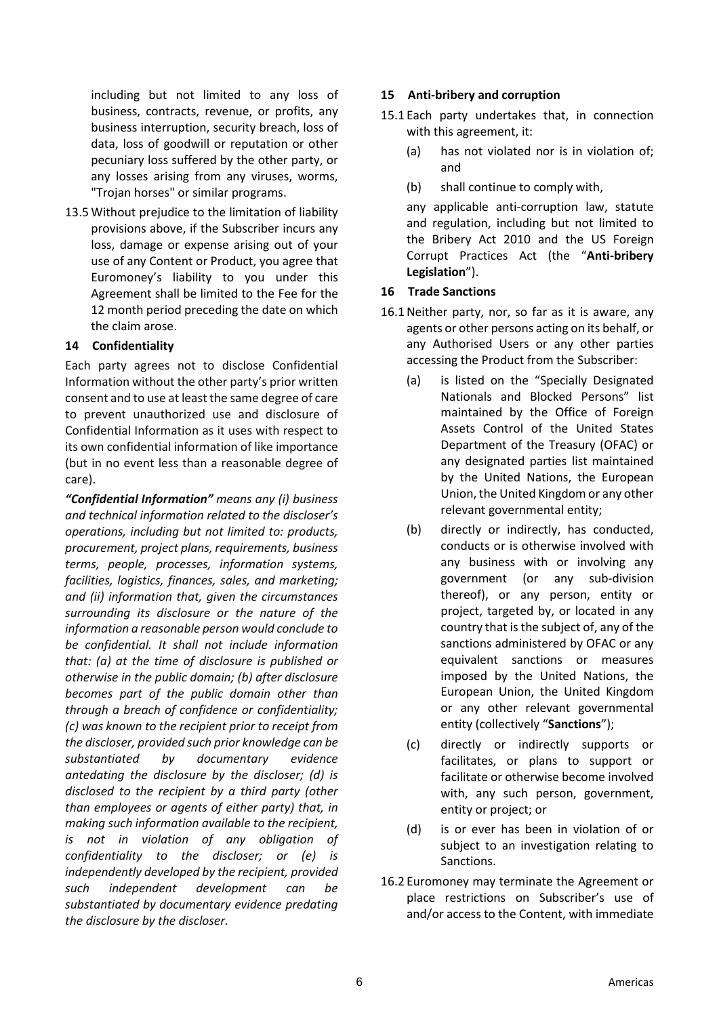including but not limited to any loss of business, contracts, revenue, or profits, any business interruption, security breach, loss of data, loss of goodwill or reputation or other pecuniary loss suffered by the other party, or any losses arising from any viruses, worms, "Trojan horses" or similar programs.

13.5 Without prejudice to the limitation of liability provisions above, if the Subscriber incurs any loss, damage or expense arising out of your use of any Content or Product, you agree that Euromoney's liability to you under this Agreement shall be limited to the Fee for the 12 month period preceding the date on which the claim arose.

## **14 Confidentiality**

Each party agrees not to disclose Confidential Information without the other party's prior written consent and to use at least the same degree of care to prevent unauthorized use and disclosure of Confidential Information as it uses with respect to its own confidential information of like importance (but in no event less than a reasonable degree of care).

*"Confidential Information" means any (i) business and technical information related to the discloser's operations, including but not limited to: products, procurement, project plans, requirements, business terms, people, processes, information systems, facilities, logistics, finances, sales, and marketing; and (ii) information that, given the circumstances surrounding its disclosure or the nature of the information a reasonable person would conclude to be confidential. It shall not include information that: (a) at the time of disclosure is published or otherwise in the public domain; (b) after disclosure becomes part of the public domain other than through a breach of confidence or confidentiality; (c) was known to the recipient prior to receipt from the discloser, provided such prior knowledge can be substantiated by documentary evidence antedating the disclosure by the discloser; (d) is disclosed to the recipient by a third party (other than employees or agents of either party) that, in making such information available to the recipient, is not in violation of any obligation of confidentiality to the discloser; or (e) is independently developed by the recipient, provided such independent development can be substantiated by documentary evidence predating the disclosure by the discloser.*

### **15 Anti-bribery and corruption**

- 15.1 Each party undertakes that, in connection with this agreement, it:
	- (a) has not violated nor is in violation of; and
	- (b) shall continue to comply with,

any applicable anti-corruption law, statute and regulation, including but not limited to the Bribery Act 2010 and the US Foreign Corrupt Practices Act (the "**Anti-bribery Legislation**").

## **16 Trade Sanctions**

- 16.1Neither party, nor, so far as it is aware, any agents or other persons acting on its behalf, or any Authorised Users or any other parties accessing the Product from the Subscriber:
	- (a) is listed on the "Specially Designated Nationals and Blocked Persons" list maintained by the Office of Foreign Assets Control of the United States Department of the Treasury (OFAC) or any designated parties list maintained by the United Nations, the European Union, the United Kingdom or any other relevant governmental entity;
	- (b) directly or indirectly, has conducted, conducts or is otherwise involved with any business with or involving any government (or any sub-division thereof), or any person, entity or project, targeted by, or located in any country that is the subject of, any of the sanctions administered by OFAC or any equivalent sanctions or measures imposed by the United Nations, the European Union, the United Kingdom or any other relevant governmental entity (collectively "**Sanctions**");
	- (c) directly or indirectly supports or facilitates, or plans to support or facilitate or otherwise become involved with, any such person, government, entity or project; or
	- (d) is or ever has been in violation of or subject to an investigation relating to Sanctions.
- 16.2 Euromoney may terminate the Agreement or place restrictions on Subscriber's use of and/or access to the Content, with immediate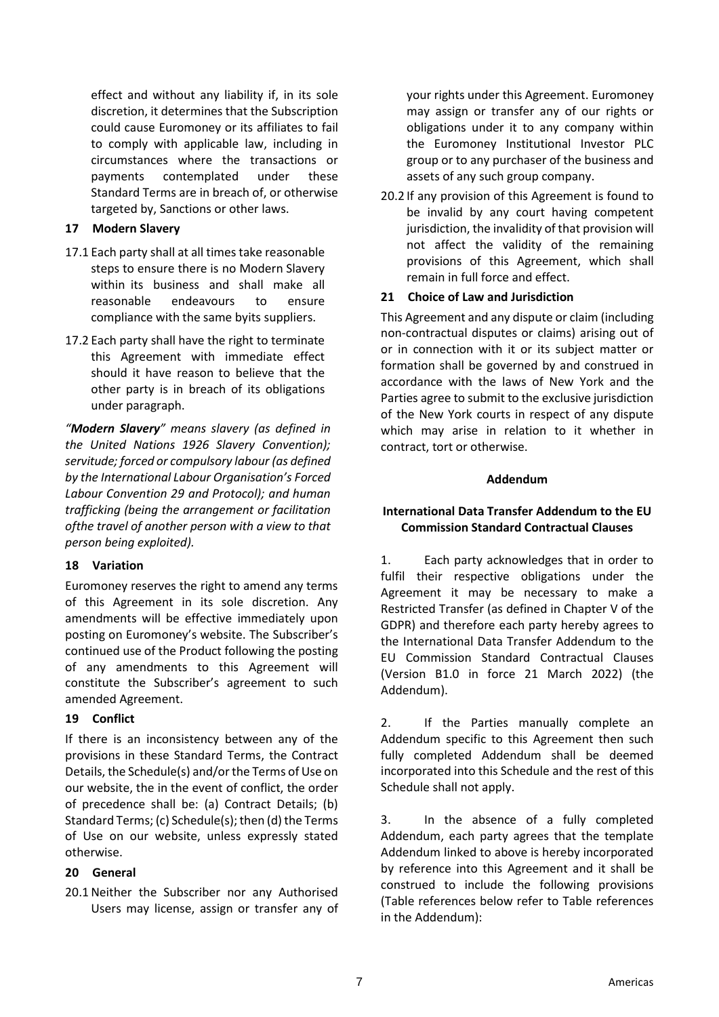effect and without any liability if, in its sole discretion, it determines that the Subscription could cause Euromoney or its affiliates to fail to comply with applicable law, including in circumstances where the transactions or payments contemplated under these Standard Terms are in breach of, or otherwise targeted by, Sanctions or other laws.

## **17 Modern Slavery**

- 17.1 Each party shall at all times take reasonable steps to ensure there is no Modern Slavery within its business and shall make all reasonable endeavours to ensure compliance with the same byits suppliers.
- 17.2 Each party shall have the right to terminate this Agreement with immediate effect should it have reason to believe that the other party is in breach of its obligations under paragraph.

*"Modern Slavery" means slavery (as defined in the United Nations 1926 Slavery Convention); servitude; forced or compulsory labour (as defined by the International Labour Organisation's Forced Labour Convention 29 and Protocol); and human trafficking (being the arrangement or facilitation ofthe travel of another person with a view to that person being exploited).*

# **18 Variation**

Euromoney reserves the right to amend any terms of this Agreement in its sole discretion. Any amendments will be effective immediately upon posting on Euromoney's website. The Subscriber's continued use of the Product following the posting of any amendments to this Agreement will constitute the Subscriber's agreement to such amended Agreement.

# **19 Conflict**

If there is an inconsistency between any of the provisions in these Standard Terms, the Contract Details, the Schedule(s) and/or the Terms of Use on our website, the in the event of conflict, the order of precedence shall be: (a) Contract Details; (b) Standard Terms; (c) Schedule(s); then (d) the Terms of Use on our website, unless expressly stated otherwise.

### **20 General**

20.1Neither the Subscriber nor any Authorised Users may license, assign or transfer any of your rights under this Agreement. Euromoney may assign or transfer any of our rights or obligations under it to any company within the Euromoney Institutional Investor PLC group or to any purchaser of the business and assets of any such group company.

20.2 If any provision of this Agreement is found to be invalid by any court having competent jurisdiction, the invalidity of that provision will not affect the validity of the remaining provisions of this Agreement, which shall remain in full force and effect.

## **21 Choice of Law and Jurisdiction**

This Agreement and any dispute or claim (including non-contractual disputes or claims) arising out of or in connection with it or its subject matter or formation shall be governed by and construed in accordance with the laws of New York and the Parties agree to submit to the exclusive jurisdiction of the New York courts in respect of any dispute which may arise in relation to it whether in contract, tort or otherwise.

### **Addendum**

# **International Data Transfer Addendum to the EU Commission Standard Contractual Clauses**

1. Each party acknowledges that in order to fulfil their respective obligations under the Agreement it may be necessary to make a Restricted Transfer (as defined in Chapter V of the GDPR) and therefore each party hereby agrees to the International Data Transfer Addendum to the EU Commission Standard Contractual Clauses (Version B1.0 in force 21 March 2022) (the Addendum).

2. If the Parties manually complete an Addendum specific to this Agreement then such fully completed Addendum shall be deemed incorporated into this Schedule and the rest of this Schedule shall not apply.

3. In the absence of a fully completed Addendum, each party agrees that the template Addendum linked to above is hereby incorporated by reference into this Agreement and it shall be construed to include the following provisions (Table references below refer to Table references in the Addendum):